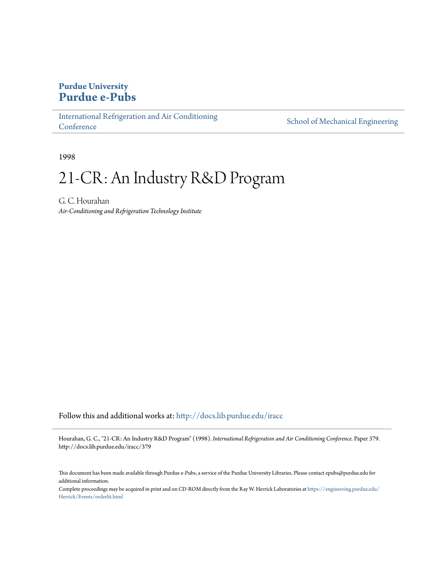# **Purdue University [Purdue e-Pubs](http://docs.lib.purdue.edu?utm_source=docs.lib.purdue.edu%2Firacc%2F379&utm_medium=PDF&utm_campaign=PDFCoverPages)**

[International Refrigeration and Air Conditioning](http://docs.lib.purdue.edu/iracc?utm_source=docs.lib.purdue.edu%2Firacc%2F379&utm_medium=PDF&utm_campaign=PDFCoverPages) **[Conference](http://docs.lib.purdue.edu/iracc?utm_source=docs.lib.purdue.edu%2Firacc%2F379&utm_medium=PDF&utm_campaign=PDFCoverPages)** 

[School of Mechanical Engineering](http://docs.lib.purdue.edu/me?utm_source=docs.lib.purdue.edu%2Firacc%2F379&utm_medium=PDF&utm_campaign=PDFCoverPages)

1998

# 21-CR: An Industry R&D Program

G. C. Hourahan *Air-Conditioning and Refrigeration Technology Institute*

Follow this and additional works at: [http://docs.lib.purdue.edu/iracc](http://docs.lib.purdue.edu/iracc?utm_source=docs.lib.purdue.edu%2Firacc%2F379&utm_medium=PDF&utm_campaign=PDFCoverPages)

Hourahan, G. C., "21-CR: An Industry R&D Program" (1998). *International Refrigeration and Air Conditioning Conference.* Paper 379. http://docs.lib.purdue.edu/iracc/379

This document has been made available through Purdue e-Pubs, a service of the Purdue University Libraries. Please contact epubs@purdue.edu for additional information.

Complete proceedings may be acquired in print and on CD-ROM directly from the Ray W. Herrick Laboratories at [https://engineering.purdue.edu/](https://engineering.purdue.edu/Herrick/Events/orderlit.html) [Herrick/Events/orderlit.html](https://engineering.purdue.edu/Herrick/Events/orderlit.html)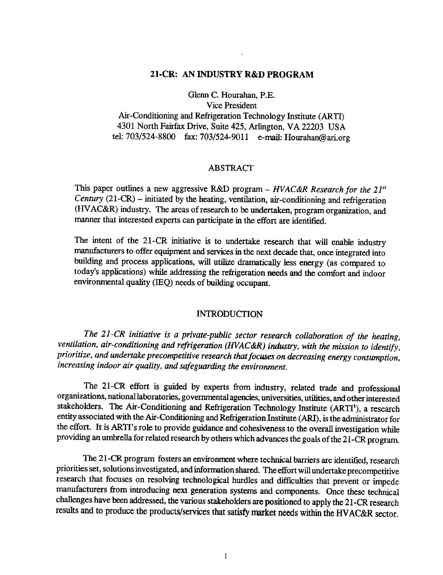### 21-CR: AN INDUSTRY R&D PROGRAM

Glenn C. Hourahan, P.E. Vice President Air-Conditioning and Refrigeration Technology Institute (ARTI) 4301 North Fairfax Drive, Suite 425, Arlington, VA 22203 USA tel: 703/524-8800 fax: 703/524-9011 e-mail: Hourahan@ari.org

#### ABSTRACT

This paper outlines a new aggressive R&D program- *HVAC&R Research for the 2F<sup>1</sup> Century* (21-CR) – initiated by the heating, ventilation, air-conditioning and refrigeration (HV AC&R) industry. The areas of research to be undertaken, program organization, and manner that interested experts can participate in the effort are identified.

The intent of the 21-CR initiative is to undertake research that will enable industry manufacturers to offer equipment and services in the next decade that, once integrated into building and process applications, will utilize dramatically less energy (as compared to today's applications) while addressing the refrigeration needs and the comfort and indoor environmental quality (IEQ) needs of building occupant.

#### INTRODUCTION

*The 21-CR initiative is a private-public sector research collaboration of the heating, ventilation, air-conditioning and refrigeration (HVAC&R) industry, with the mission to identify, prioritize, and undertake precompetitive research that focuses on decreasing energy consumption, increasing indoor air quality, and safeguarding the environment.* 

The 21-CR effort is guided by experts from industry, related trade and professional organizations, national laboratories, governmental agencies, universities, utilities, and other interested stakeholders. The Air-Conditioning and Refrigeration Technology Institute  $(ARTI<sup>1</sup>)$ , a research entity associated with the Air-Conditioning and Refrigeration Institute (ARI), is the administrator for the effort. It is ARTI's role to provide guidance and cohesiveness to the overall investigation while providing an umbrella for related research by others which advances the goals of the 21-CR program.

The 21-CR program fosters an environment where technical barriers are identified, research priorities set, solutions investigated, and information shared. The effort will undertake precompetitive research that focuses on resolving technological hurdles and difficulties that prevent or impede manufacturers from introducing next generation systems and components. Once these technical challenges have been addressed, the various stakeholders are positioned to apply the 21-CR research results and to produce the products/services that satisfy market needs within the HV AC&R sector.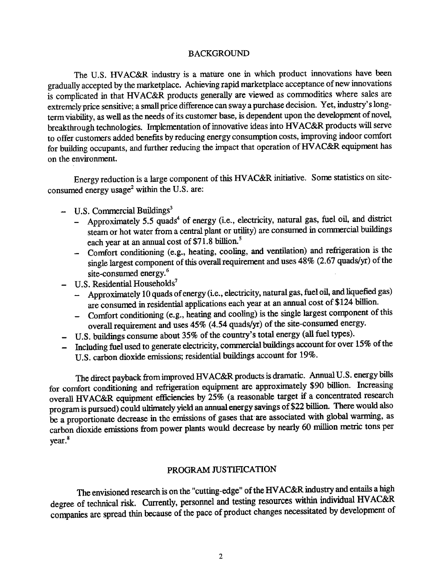#### BACKGROUND

The U.S. HVAC&R industry is a mature one in which product innovations have been gradually accepted by the marketplace. Achieving rapid marketplace acceptance of new innovations is complicated in that HV AC&R products generally are viewed as commodities where sales are extremely price sensitive; a small price difference can sway a purchase decision. Yet, industry's longterm viability, as well as the needs of its customer base, is dependent upon the development of novel, breakthrough technologies. Implementation of innovative ideas into HV AC&R products will serve to offer customers added benefits by reducing energy consumption costs, improving indoor comfort for building occupants, and further reducing the impact that operation of HV AC&R equipment has on the environment.

Energy reduction is a large component of this HV AC&R initiative. Some statistics on siteconsumed energy usage<sup>2</sup> within the U.S. are:

- $-$  U.S. Commercial Buildings<sup>3</sup>
	- Approximately 5.5 quads<sup>4</sup> of energy (i.e., electricity, natural gas, fuel oil, and district steam or hot water from a central plant or utility) are consumed in commercial buildings each year at an annual cost of \$71.8 billion. *<sup>5</sup>*
	- Comfort conditioning (e.g., heating, cooling, and ventilation) and refrigeration is the single largest component of this overall requirement and uses 48% (2.67 quads/yr) of the site-consumed energy.<sup>6</sup>
- U.S. Residential Households<sup>7</sup>
	- Approximately 10 quads of energy (i.e., electricity, natural gas, fuel oil, and liquefied gas) are consumed in residential applications each year at an annual cost of \$124 billion.
	- $-$  Comfort conditioning (e.g., heating and cooling) is the single largest component of this overall requirement and uses 45% (4.54 quads/yr) of the site-consumed energy.
- U.S. buildings consume about 35% of the country's total energy (all fuel types).
- Including fuel used to generate electricity, conunercial buildings account for over 15% of the U.S. carbon dioxide emissions; residential buildings account for 19%.

The direct payback from improved HV AC&R products is dramatic. Annual U.S. energy bills for comfort conditioning and refrigeration equipment are approximately \$90 billion. Increasing overall HV AC&R equipment efficiencies by 25% (a reasonable target if a concentrated research program is pursued) could ultimately yield an annual energy savings of \$22 billion. There would also be a proportionate decrease in the emissions of gases that are associated with global warming, as carbon dioxide emissions from power plants would decrease by nearly 60 million metric tons per year.<sup>8</sup>

# PROGRAM JUSTIFICATION

The envisioned research is on the "cutting-edge" of the HV AC&R industry and entails a high degree of technical risk. Currently, personnel and testing resources within individual HVAC&R companies are spread thin because of the pace of product changes necessitated by development of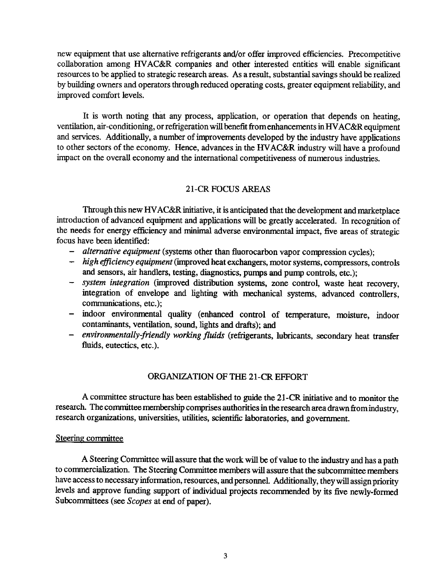new equipment that use alternative refrigerants and/or offer improved efficiencies. Precompetitive collaboration among HV AC&R companies and other interested entities will enable significant resources to be applied to strategic research areas. As a result, substantial savings should be realized by building owners and operators through reduced operating costs, greater equipment reliability, and improved comfort levels.

It is worth noting that any process, application, or operation that depends on heating, ventilation, air-conditioning, or refrigeration will benefit from enhancements in HV AC&R equipment and services. Additionally, a number of improvements developed by the industry have applications to other sectors of the economy. Hence, advances in the HV AC&R industry will have a profound impact on the overall economy and the international competitiveness of numerous industries.

# 21-CR FOCUS AREAS

Through this new HV AC&R initiative, it is anticipated that the development and marketplace introduction of advanced equipment and applications will be greatly accelerated. In recognition of the needs for energy efficiency and minimal adverse environmental impact, five areas of strategic focus have been identified:

- *alternative equipment* (systems other than fluorocarbon vapor compression cycles);
- *high efficiency equipment* (improved heat exchangers, motor systems, compressors, controls and sensors, air handlers, testing, diagnostics, pumps and pump controls, etc.);
- *system integration* (improved distribution systems, zone control, waste heat recovery, integration of envelope and lighting with mechanical systems, advanced controllers, communications, etc.);
- indoor environmental quality (enhanced control of temperature, moisture, indoor contaminants, ventilation, sound, lights and drafts); and
- *environmentally-friendly working fluids* (refrigerants, lubricants, secondary heat transfer fluids, eutectics, etc.).

## ORGANIZATION OF THE 21-CR EFFORT

A corrunittee structure has been established to guide the 21-CR initiative and to monitor the research. The connnittee membership comprises authorities in the research area drawn from industry, research organizations, universities, utilities, scientific laboratories, and government.

#### Steering committee

A Steering Committee will assure that the work will be of value to the industry and has a path to commercialization. The Steering Corrunittee members will assure that the subconnnittee members have access to necessary information, resources, and personnel. Additionally, they will assign priority levels and approve funding support of individual projects recorrunended by its five newly-formed Subcommittees (see *Scopes* at end of paper).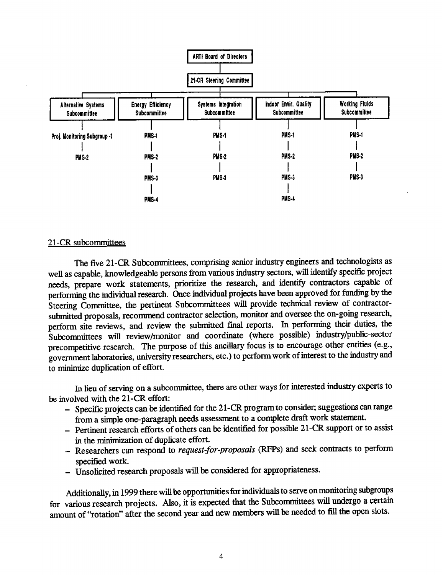

#### 21-CR subcommittees

The five 21-CR Subcommittees, comprising senior industry engineers and technologists as well as capable, knowledgeable persons from various industry sectors, will identify specific project needs, prepare work statements, prioritize the research, and identify contractors capable of performing the individual research. Once individual projects have been approved for funding by the Steering Committee, the pertinent Subcommittees will provide technical review of contractorsubmitted proposals, recommend contractor selection, monitor and oversee the on-going research, perform site reviews, and review the submitted final reports. In performing their duties, the Subcommittees will review/monitor and coordinate (where possible) industry/public-sector precompetitive research. The purpose of this ancillary focus is to encourage other entities (e.g., government laboratories, university researchers, etc.) to perform work of interest to the industry and to minimize duplication of effort.

In lieu of serving on a subcommittee, there are other ways for interested industry experts to be involved with the 21-CR effort:

- Specific projects can be identified for the 21-CR program to consider; suggestions can range from a simple one-paragraph needs assessment to a complete draft work statement.
- Pertinent research efforts of others can be identified for possible 21-CR support or to assist in the minimization of duplicate effort.
- Researchers can respond to *request-for-proposals* (RFPs) and seek contracts to perform specified work.
- Unsolicited research proposals will be considered for appropriateness.

Additionally, in 1999 there will be opportunities for individuals to serve on monitoring subgroups for various research projects. Also, it is expected that the Subcommittees will undergo a certain amount of "rotation" after the second year and new members will be needed to fill the open slots.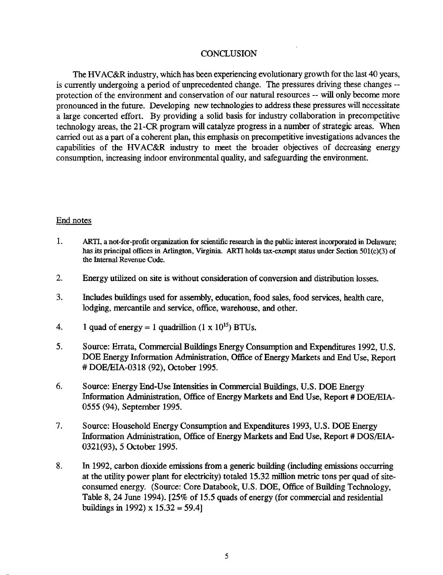#### **CONCLUSION**

The HV AC&R industry, which has been experiencing evolutionary growth for the last 40 years, is currently undergoing a period of unprecedented change. The pressures driving these changes - protection of the environment and conservation of our natural resources -- will only become more pronounced in the future. Developing new technologies to address these pressures will necessitate a large concerted effort. By providing a solid basis for industry collaboration in precompetitive technology areas, the 21-CR program will catalyze progress in a number of strategic areas. When carried out as a part of a coherent plan, this emphasis on precompetitive investigations advances the capabilities of the HVAC&R industry to meet the broader objectives of decreasing energy consumption, increasing indoor environmental quality, and safeguarding the environment.

#### End notes

- 1. ARTI, a not-for-profit organization for scientific research in the public interest incorporated in Delaware; has its principal offices in Arlington, Virginia. ARTI holds tax-exempt status under Section 50l(c)(3) of the Internal Revenue Code.
- 2. Energy utilized on site is without consideration of conversion and distribution losses.
- 3. Includes buildings used for assembly, education, food sales, food services, health care, lodging, mercantile and service, office, warehouse, and other.
- 4. 1 quad of energy = 1 quadrillion  $(1 \times 10^{15})$  BTUs.
- 5. Source: Errata, Commercial Buildings Energy Consumption and Expenditures 1992, U.S. DOE Energy Information Administration, Office of Energy Markets and End Use, Report # DOE/EIA-0318 (92), October 1995.
- 6. Source: Energy End-Use Intensities in Commercial Buildings, U.S. DOE Energy Information Administration, Office of Energy Markets and End Use, Report # DOE/EIA-0555 (94), September 1995.
- 7. Source: Household Energy Consumption and Expenditures 1993, U.S. DOE Energy Information Administration, Office of Energy Markets and End Use, Report # DOS/EIA-0321(93), *5* October 1995.
- 8. In 1992, carbon dioxide emissions from a generic building (including emissions occurring at the utility power plant for electricity) totaled 15.32 million metric tons per quad of siteconsumed energy. (Source: Core Databook, U.S. DOE, Office of Building Technology, Table 8, 24 June 1994). [25% of 15.5 quads of energy (for commercial and residential buildings in 1992) x  $15.32 = 59.4$ ]